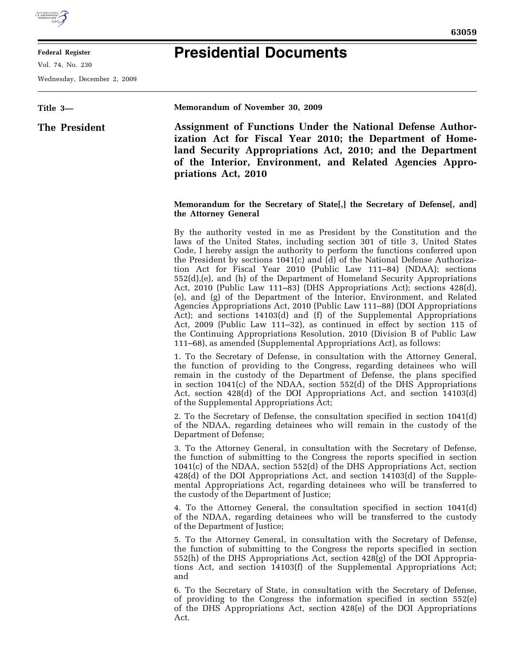

**Federal Register** 

Vol. 74, No. 230

Wednesday, December 2, 2009

## **Presidential Documents**

## **Title 3— The President Memorandum of November 30, 2009 Assignment of Functions Under the National Defense Authorization Act for Fiscal Year 2010; the Department of Homeland Security Appropriations Act, 2010; and the Department of the Interior, Environment, and Related Agencies Appropriations Act, 2010 Memorandum for the Secretary of State[,] the Secretary of Defense[, and] the Attorney General**  By the authority vested in me as President by the Constitution and the laws of the United States, including section 301 of title 3, United States Code, I hereby assign the authority to perform the functions conferred upon the President by sections 1041(c) and (d) of the National Defense Authorization Act for Fiscal Year 2010 (Public Law 111–84) (NDAA); sections 552(d),(e), and (h) of the Department of Homeland Security Appropriations Act, 2010 (Public Law 111–83) (DHS Appropriations Act); sections 428(d), (e), and (g) of the Department of the Interior, Environment, and Related Agencies Appropriations Act, 2010 (Public Law 111–88) (DOI Appropriations Act); and sections 14103(d) and (f) of the Supplemental Appropriations Act, 2009 (Public Law 111–32), as continued in effect by section 115 of the Continuing Appropriations Resolution, 2010 (Division B of Public Law 111–68), as amended (Supplemental Appropriations Act), as follows: 1. To the Secretary of Defense, in consultation with the Attorney General, the function of providing to the Congress, regarding detainees who will remain in the custody of the Department of Defense, the plans specified in section 1041(c) of the NDAA, section 552(d) of the DHS Appropriations Act, section 428(d) of the DOI Appropriations Act, and section 14103(d) of the Supplemental Appropriations Act; 2. To the Secretary of Defense, the consultation specified in section 1041(d) of the NDAA, regarding detainees who will remain in the custody of the Department of Defense; 3. To the Attorney General, in consultation with the Secretary of Defense, the function of submitting to the Congress the reports specified in section 1041(c) of the NDAA, section 552(d) of the DHS Appropriations Act, section 428(d) of the DOI Appropriations Act, and section 14103(d) of the Supplemental Appropriations Act, regarding detainees who will be transferred to the custody of the Department of Justice; 4. To the Attorney General, the consultation specified in section 1041(d) of the NDAA, regarding detainees who will be transferred to the custody of the Department of Justice; 5. To the Attorney General, in consultation with the Secretary of Defense, the function of submitting to the Congress the reports specified in section 552(h) of the DHS Appropriations Act, section 428(g) of the DOI Appropriations Act, and section 14103(f) of the Supplemental Appropriations Act; and 6. To the Secretary of State, in consultation with the Secretary of Defense, of providing to the Congress the information specified in section 552(e) of the DHS Appropriations Act, section 428(e) of the DOI Appropriations Act.